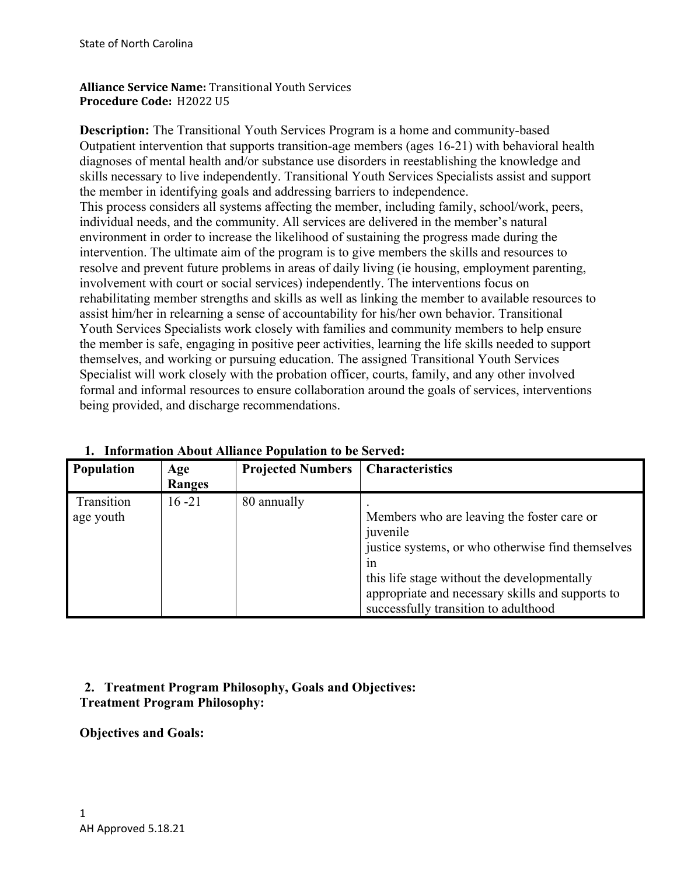**Alliance Service Name:** Transitional Youth Services **Procedure Code:** H2022 U5

**Description:** The Transitional Youth Services Program is a home and community-based Outpatient intervention that supports transition-age members (ages 16-21) with behavioral health diagnoses of mental health and/or substance use disorders in reestablishing the knowledge and skills necessary to live independently. Transitional Youth Services Specialists assist and support the member in identifying goals and addressing barriers to independence. This process considers all systems affecting the member, including family, school/work, peers, individual needs, and the community. All services are delivered in the member's natural environment in order to increase the likelihood of sustaining the progress made during the intervention. The ultimate aim of the program is to give members the skills and resources to resolve and prevent future problems in areas of daily living (ie housing, employment parenting, involvement with court or social services) independently. The interventions focus on rehabilitating member strengths and skills as well as linking the member to available resources to assist him/her in relearning a sense of accountability for his/her own behavior. Transitional Youth Services Specialists work closely with families and community members to help ensure the member is safe, engaging in positive peer activities, learning the life skills needed to support themselves, and working or pursuing education. The assigned Transitional Youth Services Specialist will work closely with the probation officer, courts, family, and any other involved formal and informal resources to ensure collaboration around the goals of services, interventions being provided, and discharge recommendations.

| <b>Population</b>       | Age<br><b>Ranges</b> | <b>Projected Numbers</b> | <b>Characteristics</b>                                                                                                                                                                                                                                       |
|-------------------------|----------------------|--------------------------|--------------------------------------------------------------------------------------------------------------------------------------------------------------------------------------------------------------------------------------------------------------|
| Transition<br>age youth | $16 - 21$            | 80 annually              | Members who are leaving the foster care or<br>juvenile<br>justice systems, or who otherwise find themselves<br>1n<br>this life stage without the developmentally<br>appropriate and necessary skills and supports to<br>successfully transition to adulthood |

**1. Information About Alliance Population to be Served:**

# **2. Treatment Program Philosophy, Goals and Objectives: Treatment Program Philosophy:**

**Objectives and Goals:**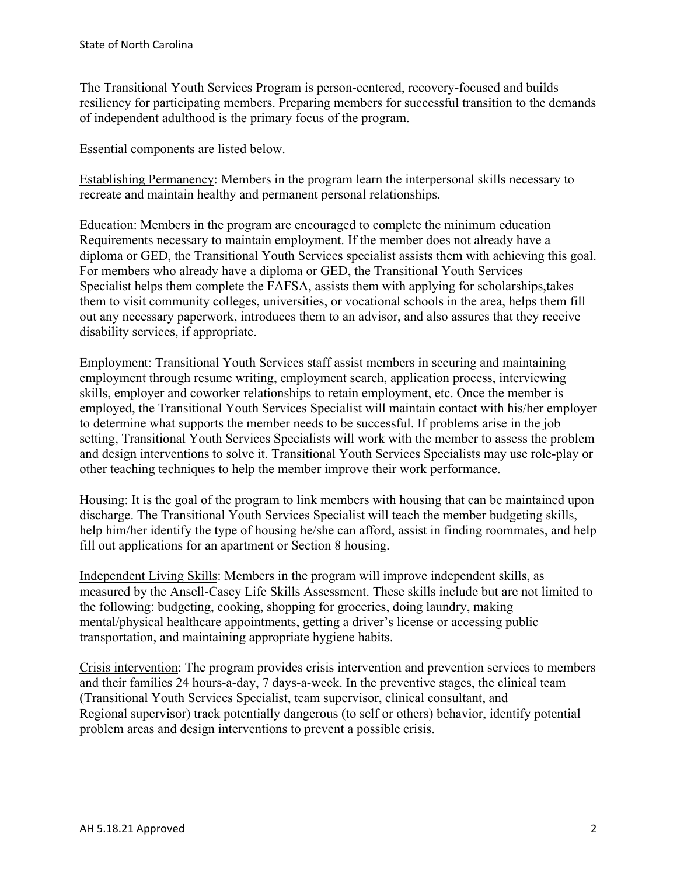The Transitional Youth Services Program is person-centered, recovery-focused and builds resiliency for participating members. Preparing members for successful transition to the demands of independent adulthood is the primary focus of the program.

Essential components are listed below.

Establishing Permanency: Members in the program learn the interpersonal skills necessary to recreate and maintain healthy and permanent personal relationships.

Education: Members in the program are encouraged to complete the minimum education Requirements necessary to maintain employment. If the member does not already have a diploma or GED, the Transitional Youth Services specialist assists them with achieving this goal. For members who already have a diploma or GED, the Transitional Youth Services Specialist helps them complete the FAFSA, assists them with applying for scholarships,takes them to visit community colleges, universities, or vocational schools in the area, helps them fill out any necessary paperwork, introduces them to an advisor, and also assures that they receive disability services, if appropriate.

Employment: Transitional Youth Services staff assist members in securing and maintaining employment through resume writing, employment search, application process, interviewing skills, employer and coworker relationships to retain employment, etc. Once the member is employed, the Transitional Youth Services Specialist will maintain contact with his/her employer to determine what supports the member needs to be successful. If problems arise in the job setting, Transitional Youth Services Specialists will work with the member to assess the problem and design interventions to solve it. Transitional Youth Services Specialists may use role-play or other teaching techniques to help the member improve their work performance.

Housing: It is the goal of the program to link members with housing that can be maintained upon discharge. The Transitional Youth Services Specialist will teach the member budgeting skills, help him/her identify the type of housing he/she can afford, assist in finding roommates, and help fill out applications for an apartment or Section 8 housing.

Independent Living Skills: Members in the program will improve independent skills, as measured by the Ansell-Casey Life Skills Assessment. These skills include but are not limited to the following: budgeting, cooking, shopping for groceries, doing laundry, making mental/physical healthcare appointments, getting a driver's license or accessing public transportation, and maintaining appropriate hygiene habits.

Crisis intervention: The program provides crisis intervention and prevention services to members and their families 24 hours-a-day, 7 days-a-week. In the preventive stages, the clinical team (Transitional Youth Services Specialist, team supervisor, clinical consultant, and Regional supervisor) track potentially dangerous (to self or others) behavior, identify potential problem areas and design interventions to prevent a possible crisis.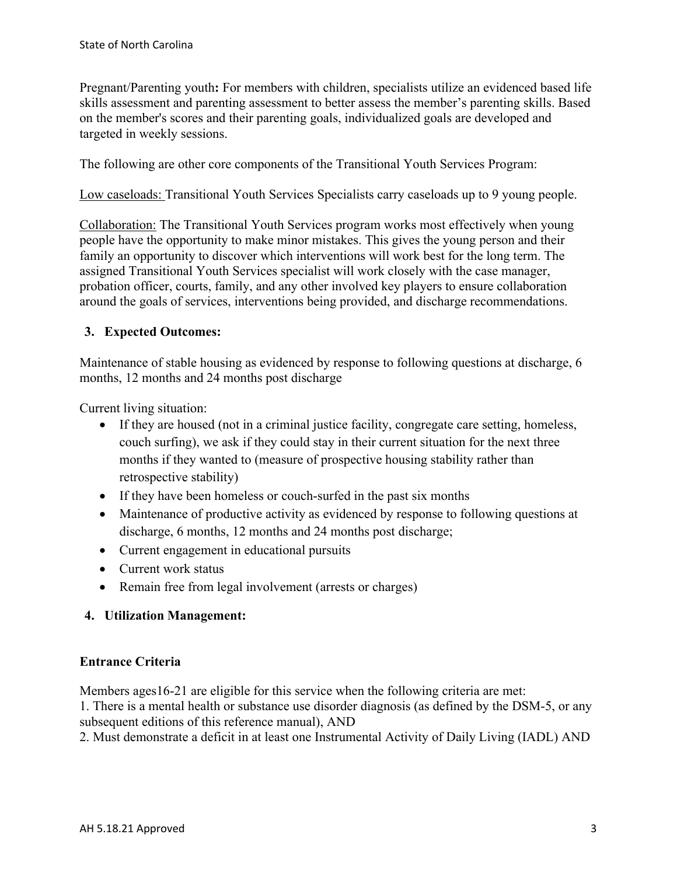Pregnant/Parenting youth**:** For members with children, specialists utilize an evidenced based life skills assessment and parenting assessment to better assess the member's parenting skills. Based on the member's scores and their parenting goals, individualized goals are developed and targeted in weekly sessions.

The following are other core components of the Transitional Youth Services Program:

Low caseloads: Transitional Youth Services Specialists carry caseloads up to 9 young people.

Collaboration: The Transitional Youth Services program works most effectively when young people have the opportunity to make minor mistakes. This gives the young person and their family an opportunity to discover which interventions will work best for the long term. The assigned Transitional Youth Services specialist will work closely with the case manager, probation officer, courts, family, and any other involved key players to ensure collaboration around the goals of services, interventions being provided, and discharge recommendations.

## **3. Expected Outcomes:**

Maintenance of stable housing as evidenced by response to following questions at discharge, 6 months, 12 months and 24 months post discharge

Current living situation:

- If they are housed (not in a criminal justice facility, congregate care setting, homeless, couch surfing), we ask if they could stay in their current situation for the next three months if they wanted to (measure of prospective housing stability rather than retrospective stability)
- If they have been homeless or couch-surfed in the past six months
- Maintenance of productive activity as evidenced by response to following questions at discharge, 6 months, 12 months and 24 months post discharge;
- Current engagement in educational pursuits
- Current work status
- Remain free from legal involvement (arrests or charges)

### **4. Utilization Management:**

### **Entrance Criteria**

Members ages16-21 are eligible for this service when the following criteria are met:

1. There is a mental health or substance use disorder diagnosis (as defined by the DSM-5, or any subsequent editions of this reference manual), AND

2. Must demonstrate a deficit in at least one Instrumental Activity of Daily Living (IADL) AND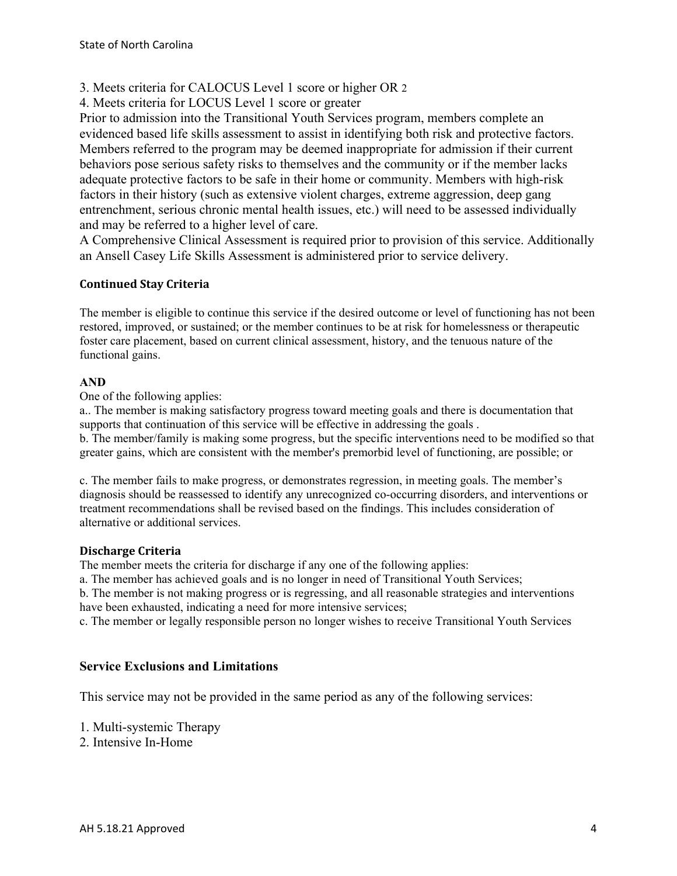- 3. Meets criteria for CALOCUS Level 1 score or higher OR 2
- 4. Meets criteria for LOCUS Level 1 score or greater

Prior to admission into the Transitional Youth Services program, members complete an evidenced based life skills assessment to assist in identifying both risk and protective factors. Members referred to the program may be deemed inappropriate for admission if their current behaviors pose serious safety risks to themselves and the community or if the member lacks adequate protective factors to be safe in their home or community. Members with high-risk factors in their history (such as extensive violent charges, extreme aggression, deep gang entrenchment, serious chronic mental health issues, etc.) will need to be assessed individually and may be referred to a higher level of care.

A Comprehensive Clinical Assessment is required prior to provision of this service. Additionally an Ansell Casey Life Skills Assessment is administered prior to service delivery.

## **Continued Stay Criteria**

The member is eligible to continue this service if the desired outcome or level of functioning has not been restored, improved, or sustained; or the member continues to be at risk for homelessness or therapeutic foster care placement, based on current clinical assessment, history, and the tenuous nature of the functional gains.

### **AND**

One of the following applies:

a.. The member is making satisfactory progress toward meeting goals and there is documentation that supports that continuation of this service will be effective in addressing the goals .

b. The member/family is making some progress, but the specific interventions need to be modified so that greater gains, which are consistent with the member's premorbid level of functioning, are possible; or

c. The member fails to make progress, or demonstrates regression, in meeting goals. The member's diagnosis should be reassessed to identify any unrecognized co-occurring disorders, and interventions or treatment recommendations shall be revised based on the findings. This includes consideration of alternative or additional services.

### **Discharge Criteria**

The member meets the criteria for discharge if any one of the following applies:

a. The member has achieved goals and is no longer in need of Transitional Youth Services;

b. The member is not making progress or is regressing, and all reasonable strategies and interventions have been exhausted, indicating a need for more intensive services;

c. The member or legally responsible person no longer wishes to receive Transitional Youth Services

## **Service Exclusions and Limitations**

This service may not be provided in the same period as any of the following services:

1. Multi-systemic Therapy

2. Intensive In-Home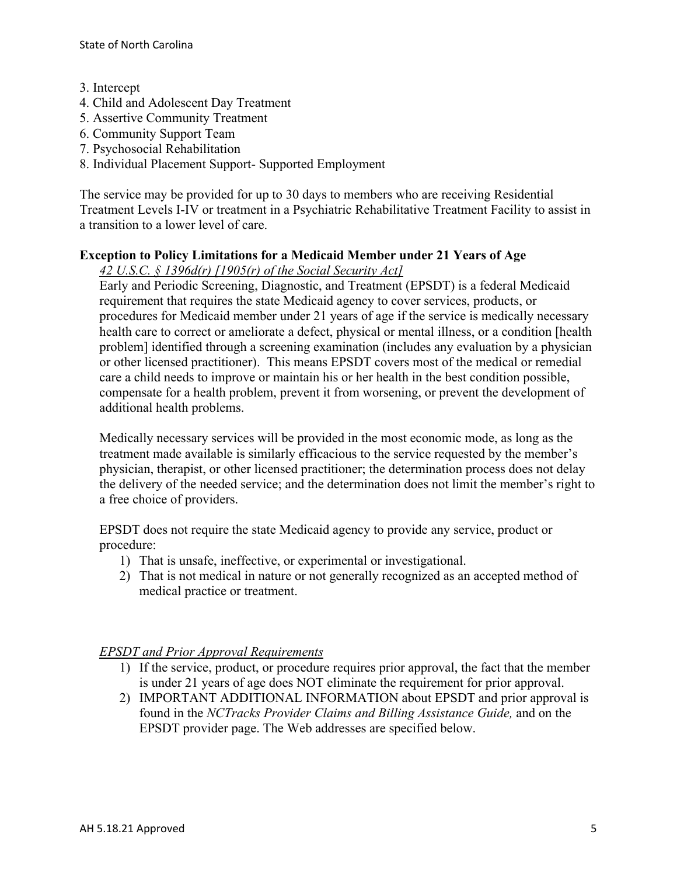- 3. Intercept
- 4. Child and Adolescent Day Treatment
- 5. Assertive Community Treatment
- 6. Community Support Team
- 7. Psychosocial Rehabilitation
- 8. Individual Placement Support- Supported Employment

The service may be provided for up to 30 days to members who are receiving Residential Treatment Levels I-IV or treatment in a Psychiatric Rehabilitative Treatment Facility to assist in a transition to a lower level of care.

# **Exception to Policy Limitations for a Medicaid Member under 21 Years of Age**

*42 U.S.C. § 1396d(r) [1905(r) of the Social Security Act]* 

Early and Periodic Screening, Diagnostic, and Treatment (EPSDT) is a federal Medicaid requirement that requires the state Medicaid agency to cover services, products, or procedures for Medicaid member under 21 years of age if the service is medically necessary health care to correct or ameliorate a defect, physical or mental illness, or a condition [health problem] identified through a screening examination (includes any evaluation by a physician or other licensed practitioner). This means EPSDT covers most of the medical or remedial care a child needs to improve or maintain his or her health in the best condition possible, compensate for a health problem, prevent it from worsening, or prevent the development of additional health problems.

Medically necessary services will be provided in the most economic mode, as long as the treatment made available is similarly efficacious to the service requested by the member's physician, therapist, or other licensed practitioner; the determination process does not delay the delivery of the needed service; and the determination does not limit the member's right to a free choice of providers.

EPSDT does not require the state Medicaid agency to provide any service, product or procedure:

- 1) That is unsafe, ineffective, or experimental or investigational.
- 2) That is not medical in nature or not generally recognized as an accepted method of medical practice or treatment.

## *EPSDT and Prior Approval Requirements*

- 1) If the service, product, or procedure requires prior approval, the fact that the member is under 21 years of age does NOT eliminate the requirement for prior approval.
- 2) IMPORTANT ADDITIONAL INFORMATION about EPSDT and prior approval is found in the *NCTracks Provider Claims and Billing Assistance Guide,* and on the EPSDT provider page. The Web addresses are specified below.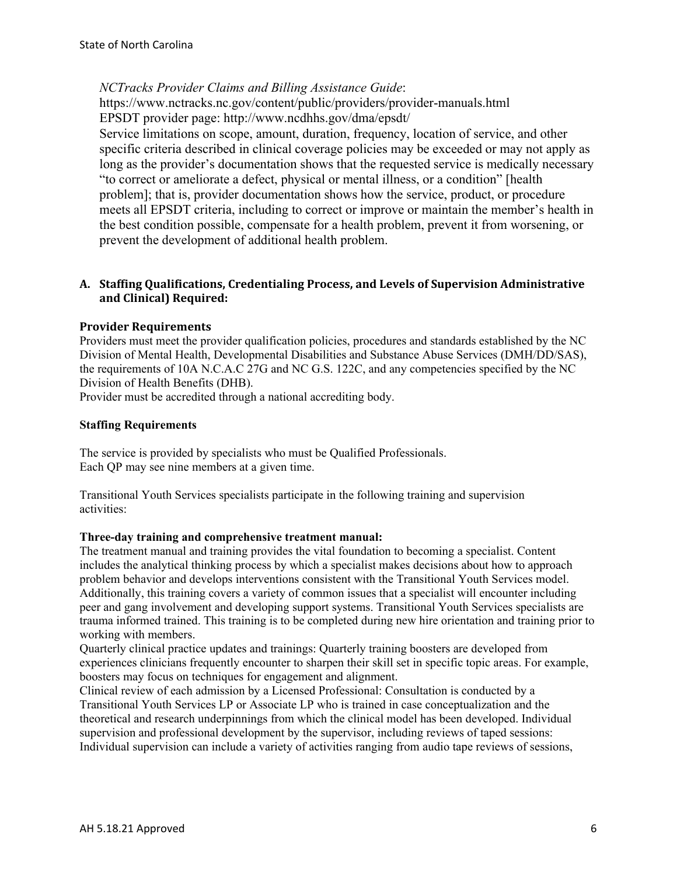*NCTracks Provider Claims and Billing Assistance Guide*:

https://www.nctracks.nc.gov/content/public/providers/provider-manuals.html EPSDT provider page: http://www.ncdhhs.gov/dma/epsdt/

Service limitations on scope, amount, duration, frequency, location of service, and other specific criteria described in clinical coverage policies may be exceeded or may not apply as long as the provider's documentation shows that the requested service is medically necessary "to correct or ameliorate a defect, physical or mental illness, or a condition" [health problem]; that is, provider documentation shows how the service, product, or procedure meets all EPSDT criteria, including to correct or improve or maintain the member's health in the best condition possible, compensate for a health problem, prevent it from worsening, or prevent the development of additional health problem.

### **A. Staffing Qualifications, Credentialing Process, and Levels of Supervision Administrative and Clinical) Required:**

### **Provider Requirements**

Providers must meet the provider qualification policies, procedures and standards established by the NC Division of Mental Health, Developmental Disabilities and Substance Abuse Services (DMH/DD/SAS), the requirements of 10A N.C.A.C 27G and NC G.S. 122C, and any competencies specified by the NC Division of Health Benefits (DHB).

Provider must be accredited through a national accrediting body.

#### **Staffing Requirements**

The service is provided by specialists who must be Qualified Professionals. Each QP may see nine members at a given time.

Transitional Youth Services specialists participate in the following training and supervision activities:

#### **Three-day training and comprehensive treatment manual:**

The treatment manual and training provides the vital foundation to becoming a specialist. Content includes the analytical thinking process by which a specialist makes decisions about how to approach problem behavior and develops interventions consistent with the Transitional Youth Services model. Additionally, this training covers a variety of common issues that a specialist will encounter including peer and gang involvement and developing support systems. Transitional Youth Services specialists are trauma informed trained. This training is to be completed during new hire orientation and training prior to working with members.

Quarterly clinical practice updates and trainings: Quarterly training boosters are developed from experiences clinicians frequently encounter to sharpen their skill set in specific topic areas. For example, boosters may focus on techniques for engagement and alignment.

Clinical review of each admission by a Licensed Professional: Consultation is conducted by a Transitional Youth Services LP or Associate LP who is trained in case conceptualization and the theoretical and research underpinnings from which the clinical model has been developed. Individual supervision and professional development by the supervisor, including reviews of taped sessions: Individual supervision can include a variety of activities ranging from audio tape reviews of sessions,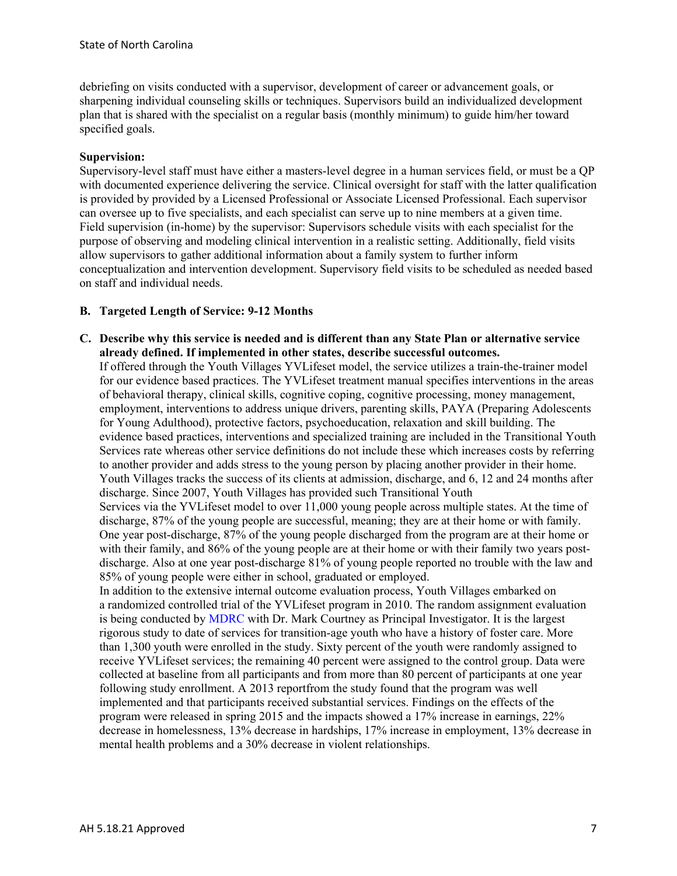debriefing on visits conducted with a supervisor, development of career or advancement goals, or sharpening individual counseling skills or techniques. Supervisors build an individualized development plan that is shared with the specialist on a regular basis (monthly minimum) to guide him/her toward specified goals.

#### **Supervision:**

Supervisory-level staff must have either a masters-level degree in a human services field, or must be a QP with documented experience delivering the service. Clinical oversight for staff with the latter qualification is provided by provided by a Licensed Professional or Associate Licensed Professional. Each supervisor can oversee up to five specialists, and each specialist can serve up to nine members at a given time. Field supervision (in-home) by the supervisor: Supervisors schedule visits with each specialist for the purpose of observing and modeling clinical intervention in a realistic setting. Additionally, field visits allow supervisors to gather additional information about a family system to further inform conceptualization and intervention development. Supervisory field visits to be scheduled as needed based on staff and individual needs.

#### **B. Targeted Length of Service: 9-12 Months**

**C. Describe why this service is needed and is different than any State Plan or alternative service already defined. If implemented in other states, describe successful outcomes.**

If offered through the Youth Villages YVLifeset model, the service utilizes a train-the-trainer model for our evidence based practices. The YVLifeset treatment manual specifies interventions in the areas of behavioral therapy, clinical skills, cognitive coping, cognitive processing, money management, employment, interventions to address unique drivers, parenting skills, PAYA (Preparing Adolescents for Young Adulthood), protective factors, psychoeducation, relaxation and skill building. The evidence based practices, interventions and specialized training are included in the Transitional Youth Services rate whereas other service definitions do not include these which increases costs by referring to another provider and adds stress to the young person by placing another provider in their home. Youth Villages tracks the success of its clients at admission, discharge, and 6, 12 and 24 months after discharge. Since 2007, Youth Villages has provided such Transitional Youth

Services via the YVLifeset model to over 11,000 young people across multiple states. At the time of discharge, 87% of the young people are successful, meaning; they are at their home or with family. One year post-discharge, 87% of the young people discharged from the program are at their home or with their family, and 86% of the young people are at their home or with their family two years postdischarge. Also at one year post-discharge 81% of young people reported no trouble with the law and 85% of young people were either in school, graduated or employed.

In addition to the extensive internal outcome evaluation process, Youth Villages embarked on a randomized controlled trial of the YVLifeset program in 2010. The random assignment evaluation is being conducted by MDRC with Dr. Mark Courtney as Principal Investigator. It is the largest rigorous study to date of services for transition-age youth who have a history of foster care. More than 1,300 youth were enrolled in the study. Sixty percent of the youth were randomly assigned to receive YVLifeset services; the remaining 40 percent were assigned to the control group. Data were collected at baseline from all participants and from more than 80 percent of participants at one year following study enrollment. A 2013 reportfrom the study found that the program was well implemented and that participants received substantial services. Findings on the effects of the program were released in spring 2015 and the impacts showed a 17% increase in earnings, 22% decrease in homelessness, 13% decrease in hardships, 17% increase in employment, 13% decrease in mental health problems and a 30% decrease in violent relationships.